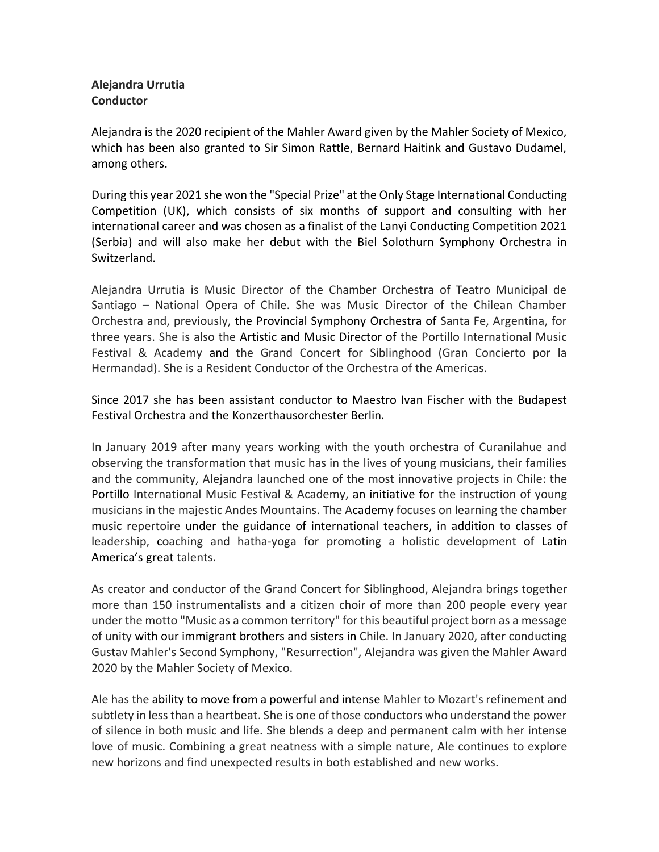## **Alejandra Urrutia Conductor**

Alejandra is the 2020 recipient of the Mahler Award given by the Mahler Society of Mexico, which has been also granted to Sir Simon Rattle, Bernard Haitink and Gustavo Dudamel, among others.

During this year 2021 she won the "Special Prize" at the Only Stage International Conducting Competition (UK), which consists of six months of support and consulting with her international career and was chosen as a finalist of the Lanyi Conducting Competition 2021 (Serbia) and will also make her debut with the Biel Solothurn Symphony Orchestra in Switzerland.

Alejandra Urrutia is Music Director of the Chamber Orchestra of Teatro Municipal de Santiago – National Opera of Chile. She was Music Director of the Chilean Chamber Orchestra and, previously, the Provincial Symphony Orchestra of Santa Fe, Argentina, for three years. She is also the Artistic and Music Director of the Portillo International Music Festival & Academy and the Grand Concert for Siblinghood (Gran Concierto por la Hermandad). She is a Resident Conductor of the Orchestra of the Americas.

Since 2017 she has been assistant conductor to Maestro Ivan Fischer with the Budapest Festival Orchestra and the [Konzerthausorchester](https://es.wikipedia.org/wiki/Konzerthausorchester_Berlin) Berlin.

In January 2019 after many years working with the youth orchestra of Curanilahue and observing the transformation that music has in the lives of young musicians, their families and the community, Alejandra launched one of the most innovative projects in Chile: the Portillo International Music Festival & Academy, an initiative for the instruction of young musicians in the majestic Andes Mountains. The Academy focuses on learning the chamber music repertoire under the guidance of international teachers, in addition to classes of leadership, coaching and hatha-yoga for promoting a holistic development of Latin America's great talents.

As creator and conductor of the Grand Concert for Siblinghood, Alejandra brings together more than 150 instrumentalists and a citizen choir of more than 200 people every year under the motto "Music as a common territory" for this beautiful project born as a message of unity with our immigrant brothers and sisters in Chile. In January 2020, after conducting Gustav Mahler's Second Symphony, "Resurrection", Alejandra was given the Mahler Award 2020 by the Mahler Society of Mexico.

Ale has the ability to move from a powerful and intense Mahler to Mozart's refinement and subtlety in less than a heartbeat. She is one of those conductors who understand the power of silence in both music and life. She blends a deep and permanent calm with her intense love of music. Combining a great neatness with a simple nature, Ale continues to explore new horizons and find unexpected results in both established and new works.